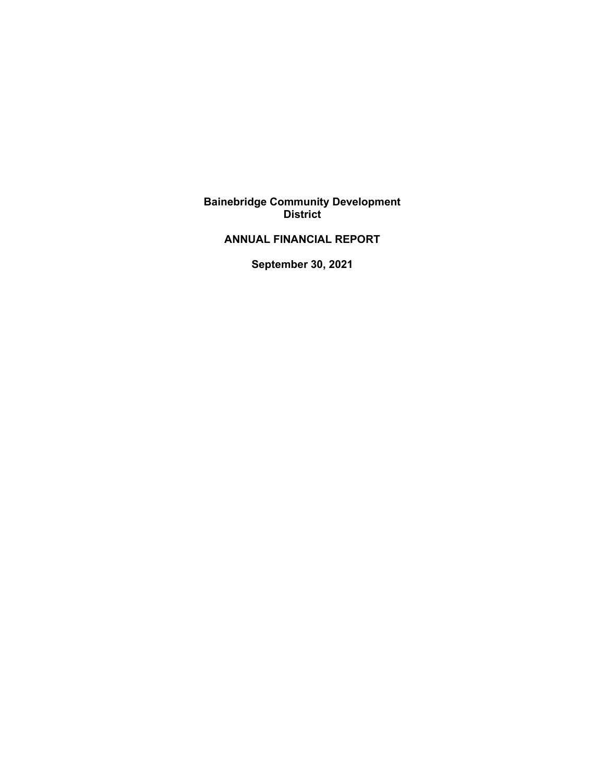#### **Bainebridge Community Development District**

# **ANNUAL FINANCIAL REPORT**

**September 30, 2021**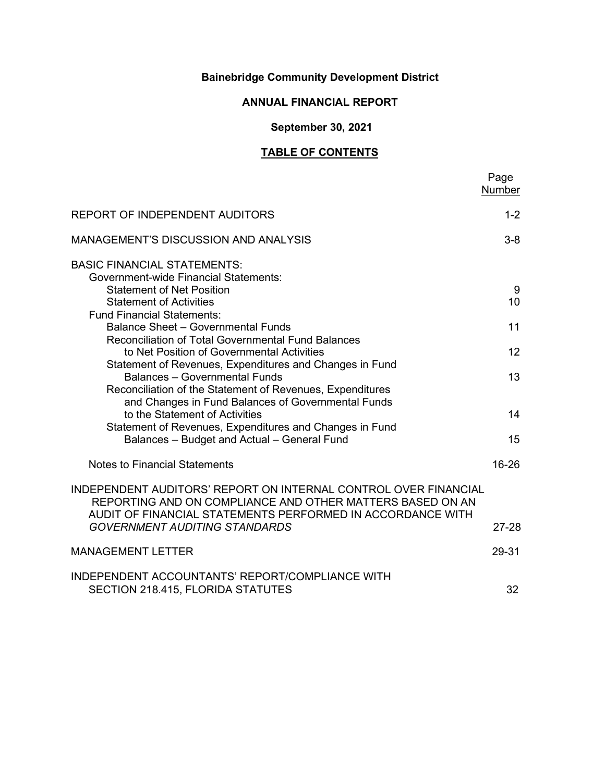# **Bainebridge Community Development District**

# **ANNUAL FINANCIAL REPORT**

# **September 30, 2021**

# **TABLE OF CONTENTS**

|                                                                                                                                                                                            | Page<br>Number |
|--------------------------------------------------------------------------------------------------------------------------------------------------------------------------------------------|----------------|
| <b>REPORT OF INDEPENDENT AUDITORS</b>                                                                                                                                                      | $1 - 2$        |
| <b>MANAGEMENT'S DISCUSSION AND ANALYSIS</b>                                                                                                                                                | $3 - 8$        |
| <b>BASIC FINANCIAL STATEMENTS:</b><br><b>Government-wide Financial Statements:</b>                                                                                                         |                |
| <b>Statement of Net Position</b>                                                                                                                                                           | 9              |
| <b>Statement of Activities</b><br><b>Fund Financial Statements:</b>                                                                                                                        | 10             |
| <b>Balance Sheet - Governmental Funds</b>                                                                                                                                                  | 11             |
| <b>Reconciliation of Total Governmental Fund Balances</b>                                                                                                                                  |                |
| to Net Position of Governmental Activities<br>Statement of Revenues, Expenditures and Changes in Fund                                                                                      | 12             |
| <b>Balances - Governmental Funds</b>                                                                                                                                                       | 13             |
| Reconciliation of the Statement of Revenues, Expenditures                                                                                                                                  |                |
| and Changes in Fund Balances of Governmental Funds<br>to the Statement of Activities                                                                                                       | 14             |
| Statement of Revenues, Expenditures and Changes in Fund                                                                                                                                    |                |
| Balances - Budget and Actual - General Fund                                                                                                                                                | 15             |
| <b>Notes to Financial Statements</b>                                                                                                                                                       | 16-26          |
| INDEPENDENT AUDITORS' REPORT ON INTERNAL CONTROL OVER FINANCIAL<br>REPORTING AND ON COMPLIANCE AND OTHER MATTERS BASED ON AN<br>AUDIT OF FINANCIAL STATEMENTS PERFORMED IN ACCORDANCE WITH |                |
| <b>GOVERNMENT AUDITING STANDARDS</b>                                                                                                                                                       | $27 - 28$      |
| <b>MANAGEMENT LETTER</b>                                                                                                                                                                   | 29-31          |
| INDEPENDENT ACCOUNTANTS' REPORT/COMPLIANCE WITH<br>SECTION 218.415, FLORIDA STATUTES                                                                                                       | 32             |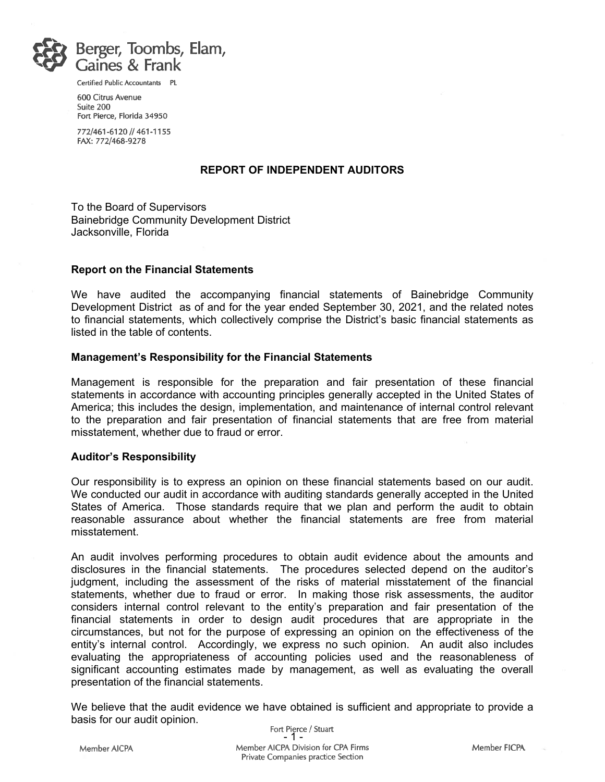

Certified Public Accountants Pl

600 Citrus Avenue Suite 200 Fort Pierce, Florida 34950

772/461-6120 // 461-1155 **FAX:** 772/468-9278

#### **REPORT OF INDEPENDENT AUDITORS**

 Jacksonville, Florida To the Board of Supervisors Bainebridge Community Development District

#### **Report on the Financial Statements**

 We have audited the accompanying financial statements of Bainebridge Community Development District as of and for the year ended September 30, 2021, and the related notes to financial statements, which collectively comprise the District's basic financial statements as listed in the table of contents.

#### **Management's Responsibility for the Financial Statements**

 Management is responsible for the preparation and fair presentation of these financial America; this includes the design, implementation, and maintenance of internal control relevant to the preparation and fair presentation of financial statements that are free from material statements in accordance with accounting principles generally accepted in the United States of misstatement, whether due to fraud or error.

#### **Auditor's Responsibility**

 States of America. Those standards require that we plan and perform the audit to obtain Our responsibility is to express an opinion on these financial statements based on our audit. We conducted our audit in accordance with auditing standards generally accepted in the United reasonable assurance about whether the financial statements are free from material misstatement.

 An audit involves performing procedures to obtain audit evidence about the amounts and disclosures in the financial statements. The procedures selected depend on the auditor's judgment, including the assessment of the risks of material misstatement of the financial statements, whether due to fraud or error. In making those risk assessments, the auditor financial statements in order to design audit procedures that are appropriate in the circumstances, but not for the purpose of expressing an opinion on the effectiveness of the entity's internal control. Accordingly, we express no such opinion. An audit also includes considers internal control relevant to the entity's preparation and fair presentation of the evaluating the appropriateness of accounting policies used and the reasonableness of significant accounting estimates made by management, as well as evaluating the overall presentation of the financial statements.

We believe that the audit evidence we have obtained is sufficient and appropriate to provide a basis for our audit opinion.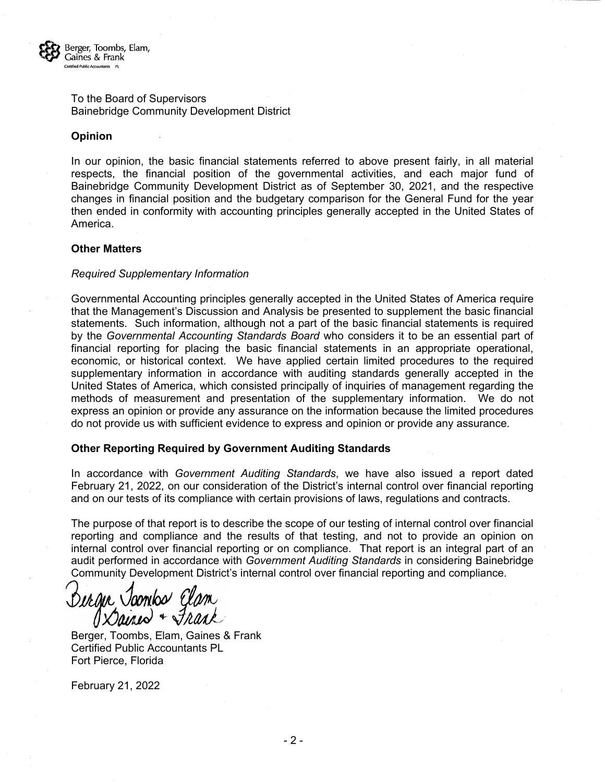

To the Board of Supervisors Bainebridge Community Development District

#### **Opinion**

 In our opinion, the basic financial statements referred to above present fairly, in all material respects, the financial position of the governmental activities, and each major fund of Bainebridge Community Development District as of September 30, 2021, and the respective changes in financial position and the budgetary comparison for the General Fund for the year then ended in conformity with accounting principles generally accepted in the United States of America.

#### **Other Matters**

#### *Required Supplementary Information*

 that the Management's Discussion and Analysis be presented to supplement the basic financial by the *Governmental Accounting Standards Board* who considers it to be an essential part of economic, or historical context. We have applied certain limited procedures to the required methods of measurement and presentation of the supplementary information. We do not express an opinion or provide any assurance on the information because the limited procedures Governmental Accounting principles generally accepted in the United States of America require statements. Such information, although not a part of the basic financial statements is required financial reporting for placing the basic financial statements in an appropriate operational, supplementary information in accordance with auditing standards generally accepted in the United States of America, which consisted principally of inquiries of management regarding the do not provide us with sufficient evidence to express and opinion or provide any assurance.

#### **Other Reporting Required by Government Auditing Standards**

In accordance with *Government Auditing Standards*, we have also issued a report dated February 21, 2022, on our consideration of the District's internal control over financial reporting and on our tests of its compliance with certain provisions of laws, regulations and contracts.

 The purpose of that report is to describe the scope of our testing of internal control over financial internal control over financial reporting or on compliance. That report is an integral part of an reporting and compliance and the results of that testing, and not to provide an opinion on audit performed in accordance with *Government Auditing Standards* in considering Bainebridge Community Development District's internal control over financial reporting and compliance.

Birgir Joonbo Glam<br>Isaines + Frank

Berger, Toombs, Elam, Gaines & Frank Certified Public Accountants PL Fort Pierce, Florida

February 21, 2022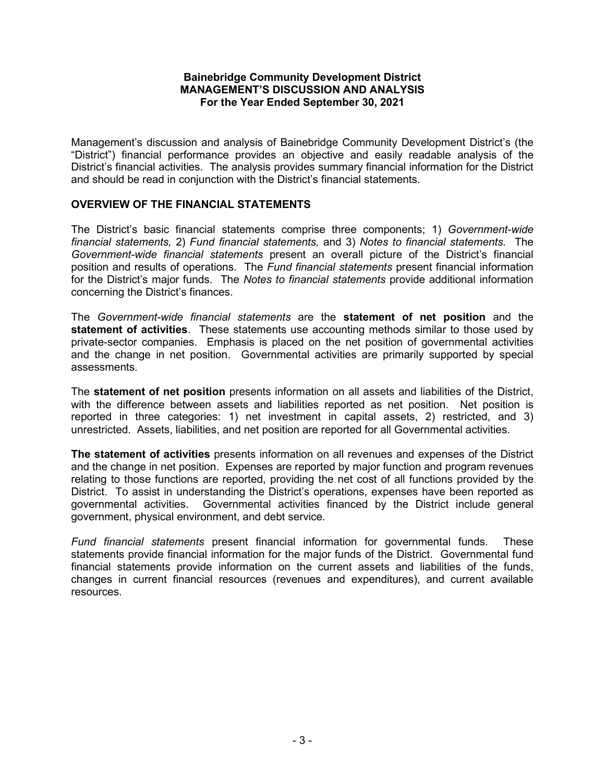Management's discussion and analysis of Bainebridge Community Development District's (the District's financial activities. The analysis provides summary financial information for the District "District") financial performance provides an objective and easily readable analysis of the and should be read in conjunction with the District's financial statements.

# **OVERVIEW OF THE FINANCIAL STATEMENTS**

 *financial statements,* 2) *Fund financial statements,* and 3) *Notes to financial statements.* The position and results of operations. The *Fund financial statements* present financial information for the District's major funds. The *Notes to financial statements* provide additional information The District's basic financial statements comprise three components; 1) *Government-wide Government-wide financial statements* present an overall picture of the District's financial concerning the District's finances.

 **statement of activities**. These statements use accounting methods similar to those used by The *Government-wide financial statements* are the **statement of net position** and the private-sector companies. Emphasis is placed on the net position of governmental activities and the change in net position. Governmental activities are primarily supported by special assessments.

 with the difference between assets and liabilities reported as net position. Net position is reported in three categories: 1) net investment in capital assets, 2) restricted, and 3) The **statement of net position** presents information on all assets and liabilities of the District, unrestricted. Assets, liabilities, and net position are reported for all Governmental activities.

 **The statement of activities** presents information on all revenues and expenses of the District and the change in net position. Expenses are reported by major function and program revenues relating to those functions are reported, providing the net cost of all functions provided by the District. To assist in understanding the District's operations, expenses have been reported as governmental activities. Governmental activities financed by the District include general government, physical environment, and debt service.

 *Fund financial statements* present financial information for governmental funds. These statements provide financial information for the major funds of the District. Governmental fund financial statements provide information on the current assets and liabilities of the funds, changes in current financial resources (revenues and expenditures), and current available resources.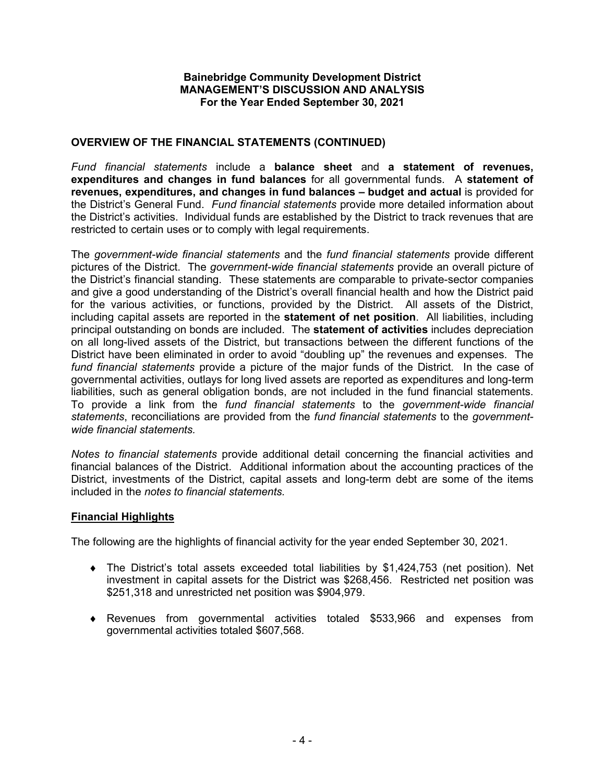# **For the Year Ended September 30, 2021 OVERVIEW OF THE FINANCIAL STATEMENTS (CONTINUED)**

 **expenditures and changes in fund balances** for all governmental funds. A **statement of revenues, expenditures, and changes in fund balances – budget and actual** is provided for the District's General Fund. *Fund financial statements* provide more detailed information about the District's activities. Individual funds are established by the District to track revenues that are restricted to certain uses or to comply with legal requirements. *Fund financial statements* include a **balance sheet** and **a statement of revenues,** 

 for the various activities, or functions, provided by the District. All assets of the District, including capital assets are reported in the **statement of net position**. All liabilities, including principal outstanding on bonds are included. The **statement of activities** includes depreciation *fund financial statements* provide a picture of the major funds of the District. In the case of liabilities, such as general obligation bonds, are not included in the fund financial statements. liabilities, such as general obligation bonds, are not included in the fund financial statements.<br>To provide a link from the *fund financial statements* to the *government-wide financial statements*, reconciliations are provided from the *fund financial statements* to the *government-*The *government-wide financial statements* and the *fund financial statements* provide different pictures of the District. The *government-wide financial statements* provide an overall picture of the District's financial standing. These statements are comparable to private-sector companies and give a good understanding of the District's overall financial health and how the District paid on all long-lived assets of the District, but transactions between the different functions of the District have been eliminated in order to avoid "doubling up" the revenues and expenses. The governmental activities, outlays for long lived assets are reported as expenditures and long-term *wide financial statements.* 

 *Notes to financial statements* provide additional detail concerning the financial activities and financial balances of the District. Additional information about the accounting practices of the District, investments of the District, capital assets and long-term debt are some of the items included in the *notes to financial statements.* 

# **Financial Highlights**

The following are the highlights of financial activity for the year ended September 30, 2021.

- investment in capital assets for the District was \$268,456. Restricted net position was \$251,318 and unrestricted net position was \$904,979. ♦ The District's total assets exceeded total liabilities by \$1,424,753 (net position). Net
- ♦ Revenues from governmental activities totaled \$533,966 and expenses from governmental activities totaled \$607,568.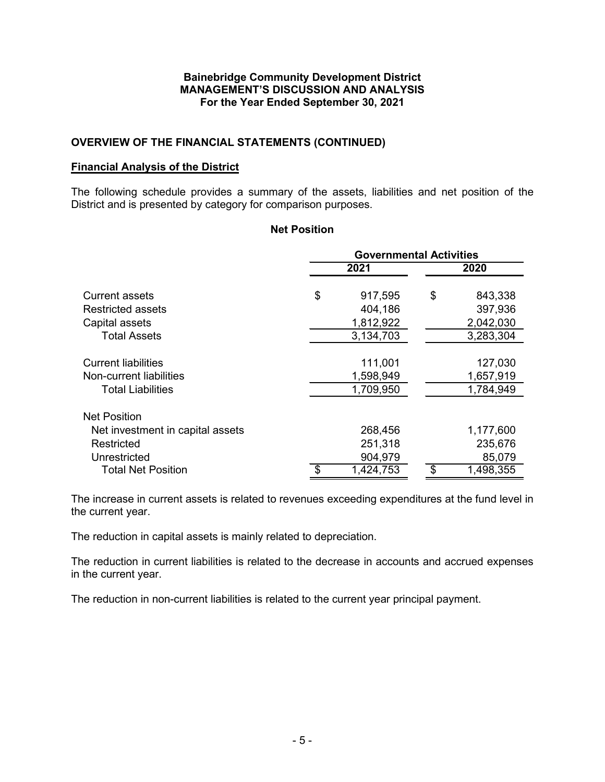# **OVERVIEW OF THE FINANCIAL STATEMENTS (CONTINUED)**

# **Financial Analysis of the District**

 District and is presented by category for comparison purposes. The following schedule provides a summary of the assets, liabilities and net position of the

#### **Net Position**

|                                  | <b>Governmental Activities</b> |           |    |           |  |  |
|----------------------------------|--------------------------------|-----------|----|-----------|--|--|
|                                  |                                | 2021      |    | 2020      |  |  |
| Current assets                   | \$                             | 917,595   | \$ | 843,338   |  |  |
| Restricted assets                |                                | 404,186   |    | 397,936   |  |  |
| Capital assets                   |                                | 1,812,922 |    | 2,042,030 |  |  |
| Total Assets                     |                                | 3,134,703 |    | 3,283,304 |  |  |
| <b>Current liabilities</b>       |                                | 111,001   |    | 127,030   |  |  |
| Non-current liabilities          |                                | 1,598,949 |    | 1,657,919 |  |  |
| <b>Total Liabilities</b>         |                                | 1,709,950 |    | 1,784,949 |  |  |
| <b>Net Position</b>              |                                |           |    |           |  |  |
| Net investment in capital assets |                                | 268,456   |    | 1,177,600 |  |  |
| Restricted                       |                                | 251,318   |    | 235,676   |  |  |
| Unrestricted                     |                                | 904,979   |    | 85,079    |  |  |
| Total Net Position               | \$                             | 1,424,753 | \$ | 1,498,355 |  |  |

The increase in current assets is related to revenues exceeding expenditures at the fund level in the current year.

The reduction in capital assets is mainly related to depreciation.

The reduction in current liabilities is related to the decrease in accounts and accrued expenses in the current year.

The reduction in non-current liabilities is related to the current year principal payment.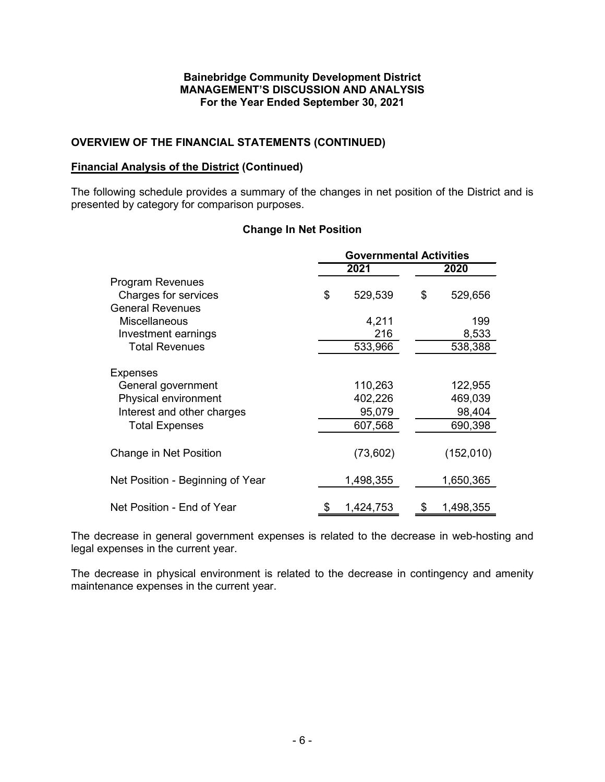# **For the Year Ended September 30, 2021 OVERVIEW OF THE FINANCIAL STATEMENTS (CONTINUED)**

# **Financial Analysis of the District (Continued)**

 The following schedule provides a summary of the changes in net position of the District and is presented by category for comparison purposes.

### **Change In Net Position**

|                                  | <b>Governmental Activities</b> |           |         |            |  |  |
|----------------------------------|--------------------------------|-----------|---------|------------|--|--|
|                                  |                                | 2021      |         | 2020       |  |  |
| <b>Program Revenues</b>          |                                |           |         |            |  |  |
| Charges for services             | \$                             | 529,539   | \$      | 529,656    |  |  |
| <b>General Revenues</b>          |                                |           |         |            |  |  |
| <b>Miscellaneous</b>             |                                | 4,211     |         | 199        |  |  |
| Investment earnings              |                                | 216       |         | 8,533      |  |  |
| <b>Total Revenues</b>            |                                | 533,966   | 538,388 |            |  |  |
| <b>Expenses</b>                  |                                |           |         |            |  |  |
| General government               |                                | 110,263   |         | 122,955    |  |  |
| Physical environment             |                                | 402,226   |         | 469,039    |  |  |
| Interest and other charges       |                                | 95,079    |         | 98,404     |  |  |
| <b>Total Expenses</b>            |                                | 607,568   |         | 690,398    |  |  |
| Change in Net Position           |                                | (73,602)  |         | (152, 010) |  |  |
| Net Position - Beginning of Year |                                | 1,498,355 |         | 1,650,365  |  |  |
| Net Position - End of Year       |                                | 1,424,753 | \$      | 1,498,355  |  |  |

 The decrease in general government expenses is related to the decrease in web-hosting and legal expenses in the current year.

The decrease in physical environment is related to the decrease in contingency and amenity maintenance expenses in the current year.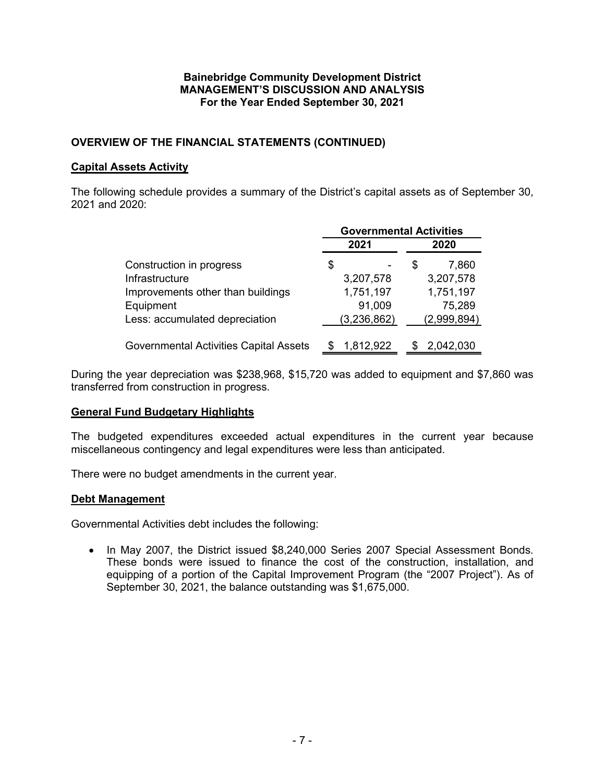# **OVERVIEW OF THE FINANCIAL STATEMENTS (CONTINUED)**

# **Capital Assets Activity**

 2021 and 2020: The following schedule provides a summary of the District's capital assets as of September 30,

|                                               | <b>Governmental Activities</b> |             |  |  |  |
|-----------------------------------------------|--------------------------------|-------------|--|--|--|
|                                               | 2021                           | 2020        |  |  |  |
| Construction in progress                      | \$                             | 7,860<br>\$ |  |  |  |
| Infrastructure                                | 3,207,578                      | 3,207,578   |  |  |  |
| Improvements other than buildings             | 1,751,197                      | 1,751,197   |  |  |  |
| Equipment                                     | 91,009                         | 75,289      |  |  |  |
| Less: accumulated depreciation                | (3, 236, 862)                  | (2,999,894) |  |  |  |
|                                               |                                |             |  |  |  |
| <b>Governmental Activities Capital Assets</b> | 1,812,922                      | 2,042,030   |  |  |  |

 During the year depreciation was \$238,968, \$15,720 was added to equipment and \$7,860 was transferred from construction in progress.

# **General Fund Budgetary Highlights**

 The budgeted expenditures exceeded actual expenditures in the current year because miscellaneous contingency and legal expenditures were less than anticipated.

There were no budget amendments in the current year.

#### **Debt Management**

Governmental Activities debt includes the following:

 $\bullet$ • In May 2007, the District issued \$8,240,000 Series 2007 Special Assessment Bonds. These bonds were issued to finance the cost of the construction, installation, and equipping of a portion of the Capital Improvement Program (the "2007 Project"). As of September 30, 2021, the balance outstanding was \$1,675,000.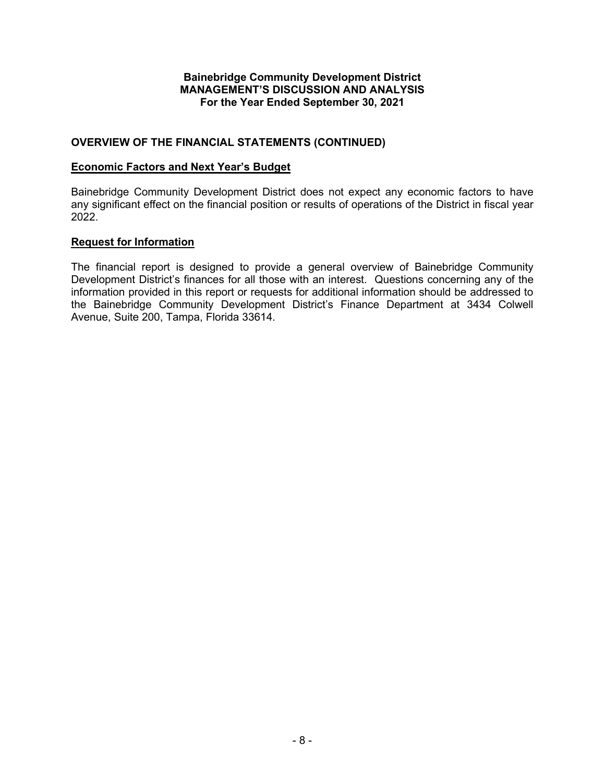# **OVERVIEW OF THE FINANCIAL STATEMENTS (CONTINUED)**

# **Economic Factors and Next Year's Budget**

 Bainebridge Community Development District does not expect any economic factors to have any significant effect on the financial position or results of operations of the District in fiscal year 2022.

### **Request for Information**

 The financial report is designed to provide a general overview of Bainebridge Community Development District's finances for all those with an interest. Questions concerning any of the the Bainebridge Community Development District's Finance Department at 3434 Colwell Avenue, Suite 200, Tampa, Florida 33614. information provided in this report or requests for additional information should be addressed to Avenue, Suite 200, Tampa, Florida 33614. - 8 -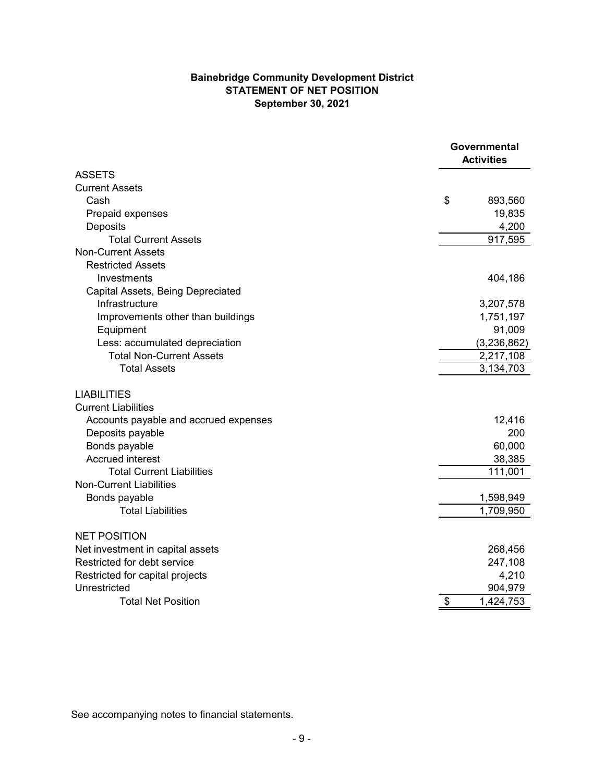# **Bainebridge Community Development District STATEMENT OF NET POSITION September 30, 2021**

|                                       | <b>Governmental</b><br><b>Activities</b> |  |  |
|---------------------------------------|------------------------------------------|--|--|
| <b>ASSETS</b>                         |                                          |  |  |
| <b>Current Assets</b>                 |                                          |  |  |
| Cash                                  | \$<br>893,560                            |  |  |
| Prepaid expenses                      | 19,835                                   |  |  |
| Deposits                              | 4,200                                    |  |  |
| <b>Total Current Assets</b>           | 917,595                                  |  |  |
| <b>Non-Current Assets</b>             |                                          |  |  |
| <b>Restricted Assets</b>              |                                          |  |  |
| Investments                           | 404,186                                  |  |  |
| Capital Assets, Being Depreciated     |                                          |  |  |
| Infrastructure                        | 3,207,578                                |  |  |
| Improvements other than buildings     | 1,751,197                                |  |  |
| Equipment                             | 91,009                                   |  |  |
| Less: accumulated depreciation        | (3, 236, 862)                            |  |  |
| <b>Total Non-Current Assets</b>       | 2,217,108                                |  |  |
| <b>Total Assets</b>                   | 3,134,703                                |  |  |
| <b>LIABILITIES</b>                    |                                          |  |  |
| <b>Current Liabilities</b>            |                                          |  |  |
| Accounts payable and accrued expenses | 12,416                                   |  |  |
| Deposits payable                      | 200                                      |  |  |
| Bonds payable                         | 60,000                                   |  |  |
| Accrued interest                      | 38,385                                   |  |  |
| <b>Total Current Liabilities</b>      | 111,001                                  |  |  |
| <b>Non-Current Liabilities</b>        |                                          |  |  |
| Bonds payable                         | 1,598,949                                |  |  |
| <b>Total Liabilities</b>              | 1,709,950                                |  |  |
| <b>NET POSITION</b>                   |                                          |  |  |
| Net investment in capital assets      | 268,456                                  |  |  |
| Restricted for debt service           | 247,108                                  |  |  |
| Restricted for capital projects       | 4,210                                    |  |  |
| Unrestricted                          | 904,979                                  |  |  |
| <b>Total Net Position</b>             | \$<br>1,424,753                          |  |  |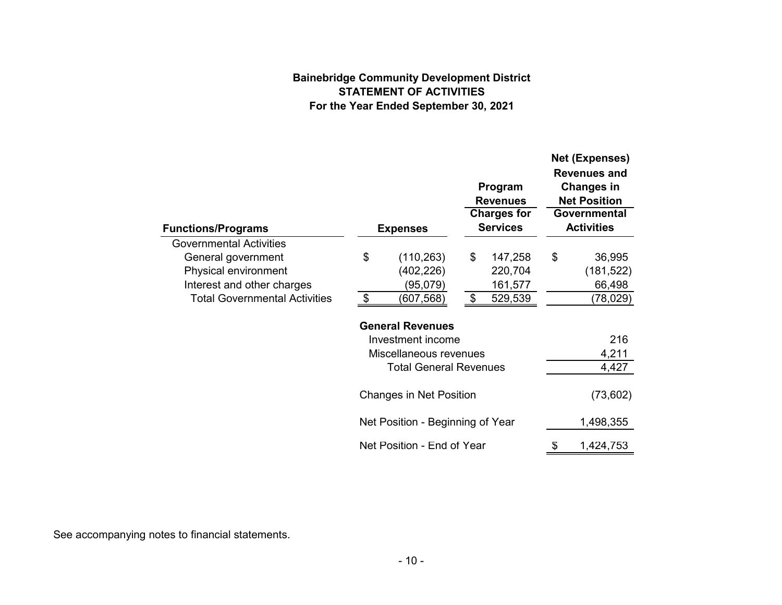# **Bainebridge Community Development District STATEMENT OF ACTIVITIES For the Year Ended September 30, 2021**

| <b>Functions/Programs</b>            |                                  | <b>Expenses</b>                |    | Program<br><b>Revenues</b><br><b>Charges for</b><br><b>Services</b> |    | <b>Net (Expenses)</b><br><b>Revenues and</b><br><b>Changes in</b><br><b>Net Position</b><br>Governmental<br><b>Activities</b> |
|--------------------------------------|----------------------------------|--------------------------------|----|---------------------------------------------------------------------|----|-------------------------------------------------------------------------------------------------------------------------------|
| <b>Governmental Activities</b>       |                                  |                                |    |                                                                     |    |                                                                                                                               |
| General government                   | \$                               | (110, 263)                     | \$ | 147,258                                                             | \$ | 36,995                                                                                                                        |
| Physical environment                 |                                  | (402, 226)                     |    | 220,704                                                             |    | (181, 522)                                                                                                                    |
| Interest and other charges           |                                  | (95,079)                       |    | 161,577                                                             |    | 66,498                                                                                                                        |
| <b>Total Governmental Activities</b> | \$                               | (607, 568)                     | \$ | 529,539                                                             |    | (78, 029)                                                                                                                     |
|                                      |                                  | <b>General Revenues</b>        |    |                                                                     |    |                                                                                                                               |
|                                      | Investment income                |                                |    |                                                                     |    | 216                                                                                                                           |
|                                      |                                  | Miscellaneous revenues         |    |                                                                     |    | 4,211                                                                                                                         |
|                                      | <b>Total General Revenues</b>    |                                |    |                                                                     |    | 4,427                                                                                                                         |
|                                      |                                  | <b>Changes in Net Position</b> |    |                                                                     |    | (73, 602)                                                                                                                     |
|                                      | Net Position - Beginning of Year |                                |    |                                                                     |    | 1,498,355                                                                                                                     |
|                                      |                                  | Net Position - End of Year     |    |                                                                     | \$ | 1,424,753                                                                                                                     |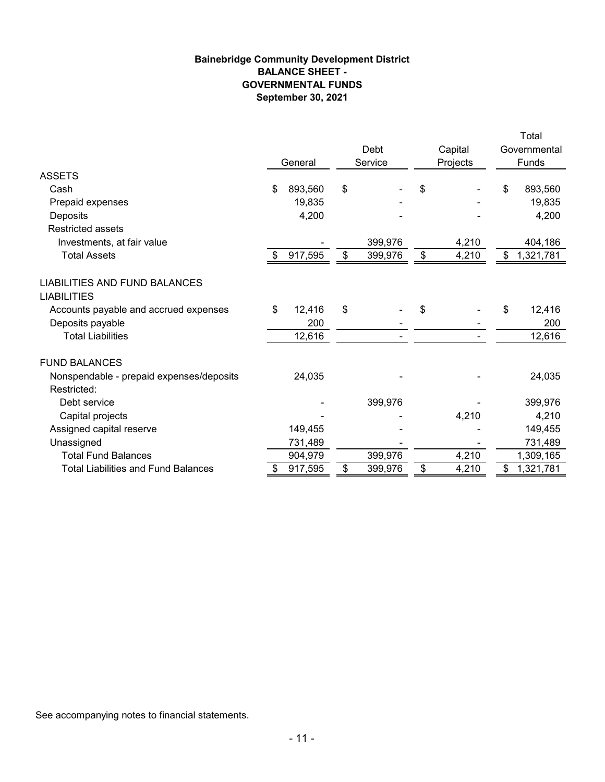# **Bainebridge Community Development District BALANCE SHEET - GOVERNMENTAL FUNDS September 30, 2021**

|                                                            |               |               |             | Total           |
|------------------------------------------------------------|---------------|---------------|-------------|-----------------|
|                                                            |               | Debt          | Capital     | Governmental    |
|                                                            | General       | Service       | Projects    | Funds           |
| <b>ASSETS</b>                                              |               |               |             |                 |
| Cash                                                       | \$<br>893,560 | \$            | \$          | \$<br>893,560   |
| Prepaid expenses                                           | 19,835        |               |             | 19,835          |
| Deposits                                                   | 4,200         |               |             | 4,200           |
| <b>Restricted assets</b>                                   |               |               |             |                 |
| Investments, at fair value                                 |               | 399,976       | 4,210       | 404,186         |
| <b>Total Assets</b>                                        | \$<br>917,595 | \$<br>399,976 | \$<br>4,210 | \$<br>1,321,781 |
| <b>LIABILITIES AND FUND BALANCES</b><br><b>LIABILITIES</b> |               |               |             |                 |
| Accounts payable and accrued expenses                      | \$<br>12,416  | \$            | \$          | \$<br>12,416    |
| Deposits payable                                           | 200           |               |             | 200             |
| <b>Total Liabilities</b>                                   | 12,616        |               |             | 12,616          |
| <b>FUND BALANCES</b>                                       |               |               |             |                 |
| Nonspendable - prepaid expenses/deposits<br>Restricted:    | 24,035        |               |             | 24,035          |
| Debt service                                               |               | 399,976       |             | 399,976         |
| Capital projects                                           |               |               | 4,210       | 4,210           |
| Assigned capital reserve                                   | 149,455       |               |             | 149,455         |
| Unassigned                                                 | 731,489       |               |             | 731,489         |
| <b>Total Fund Balances</b>                                 | 904,979       | 399,976       | 4,210       | 1,309,165       |
| <b>Total Liabilities and Fund Balances</b>                 | \$<br>917,595 | \$<br>399,976 | \$<br>4,210 | \$<br>1,321,781 |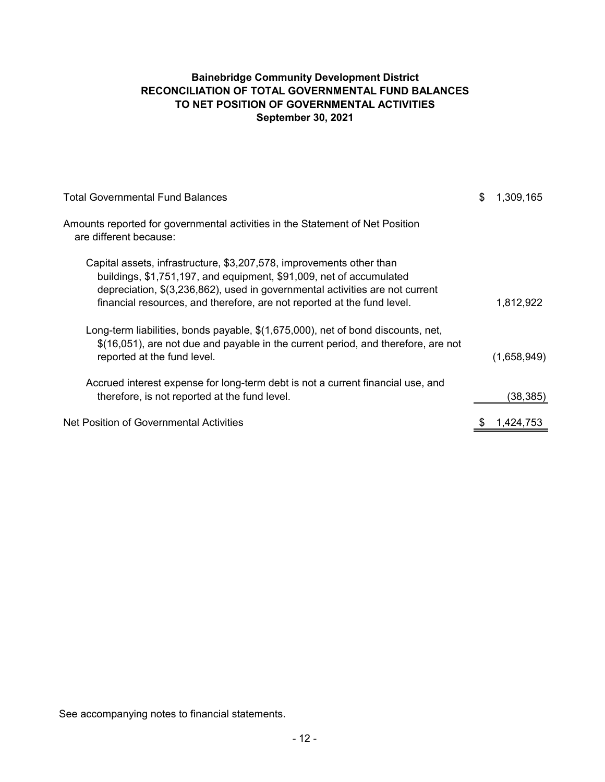# **Bainebridge Community Development District RECONCILIATION OF TOTAL GOVERNMENTAL FUND BALANCES TO NET POSITION OF GOVERNMENTAL ACTIVITIES September 30, 2021**

| <b>Total Governmental Fund Balances</b>                                                                                                                                                                                                                                                                | S | 1,309,165   |
|--------------------------------------------------------------------------------------------------------------------------------------------------------------------------------------------------------------------------------------------------------------------------------------------------------|---|-------------|
| Amounts reported for governmental activities in the Statement of Net Position<br>are different because:                                                                                                                                                                                                |   |             |
| Capital assets, infrastructure, \$3,207,578, improvements other than<br>buildings, \$1,751,197, and equipment, \$91,009, net of accumulated<br>depreciation, \$(3,236,862), used in governmental activities are not current<br>financial resources, and therefore, are not reported at the fund level. |   | 1,812,922   |
| Long-term liabilities, bonds payable, \$(1,675,000), net of bond discounts, net,<br>\$(16,051), are not due and payable in the current period, and therefore, are not<br>reported at the fund level.                                                                                                   |   | (1,658,949) |
| Accrued interest expense for long-term debt is not a current financial use, and<br>therefore, is not reported at the fund level.                                                                                                                                                                       |   | (38, 385)   |
| Net Position of Governmental Activities                                                                                                                                                                                                                                                                |   | 1,424,753   |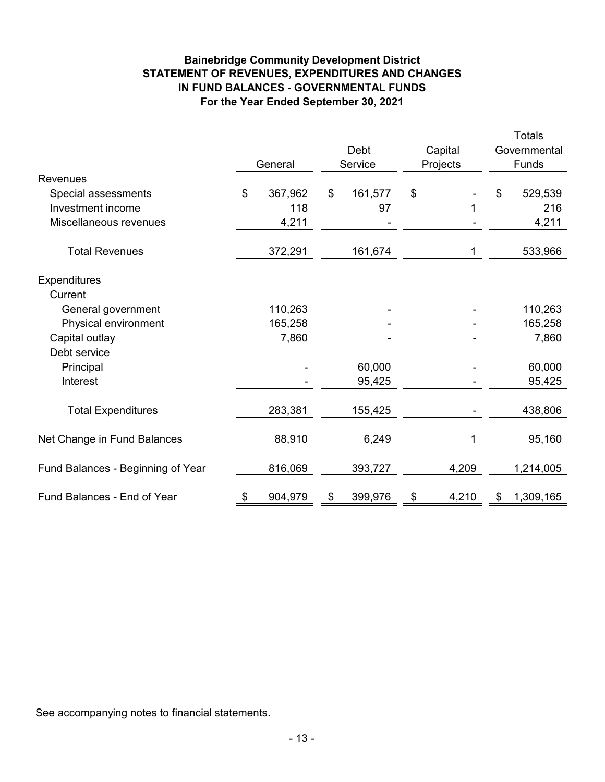# **Bainebridge Community Development District STATEMENT OF REVENUES, EXPENDITURES AND CHANGES IN FUND BALANCES - GOVERNMENTAL FUNDS For the Year Ended September 30, 2021**

|                                   |               |               |         |          |              | <b>Totals</b> |
|-----------------------------------|---------------|---------------|---------|----------|--------------|---------------|
|                                   |               | Debt          | Capital |          | Governmental |               |
|                                   | General       | Service       |         | Projects |              | Funds         |
| Revenues                          |               |               |         |          |              |               |
| Special assessments               | \$<br>367,962 | \$<br>161,577 | \$      |          | \$           | 529,539       |
| Investment income                 | 118           | 97            |         |          |              | 216           |
| Miscellaneous revenues            | 4,211         |               |         |          |              | 4,211         |
|                                   |               |               |         |          |              |               |
| <b>Total Revenues</b>             | 372,291       | 161,674       |         |          |              | 533,966       |
| <b>Expenditures</b>               |               |               |         |          |              |               |
| Current                           |               |               |         |          |              |               |
| General government                | 110,263       |               |         |          |              | 110,263       |
| Physical environment              | 165,258       |               |         |          |              | 165,258       |
| Capital outlay                    | 7,860         |               |         |          |              | 7,860         |
| Debt service                      |               |               |         |          |              |               |
| Principal                         |               | 60,000        |         |          |              | 60,000        |
| Interest                          |               | 95,425        |         |          |              | 95,425        |
|                                   |               |               |         |          |              |               |
| <b>Total Expenditures</b>         | 283,381       | 155,425       |         |          |              | 438,806       |
|                                   |               |               |         |          |              |               |
| Net Change in Fund Balances       | 88,910        | 6,249         |         | 1        |              | 95,160        |
| Fund Balances - Beginning of Year | 816,069       | 393,727       |         | 4,209    |              | 1,214,005     |
| Fund Balances - End of Year       | \$<br>904,979 | \$<br>399,976 | \$      | 4,210    | \$           | 1,309,165     |
|                                   |               |               |         |          |              |               |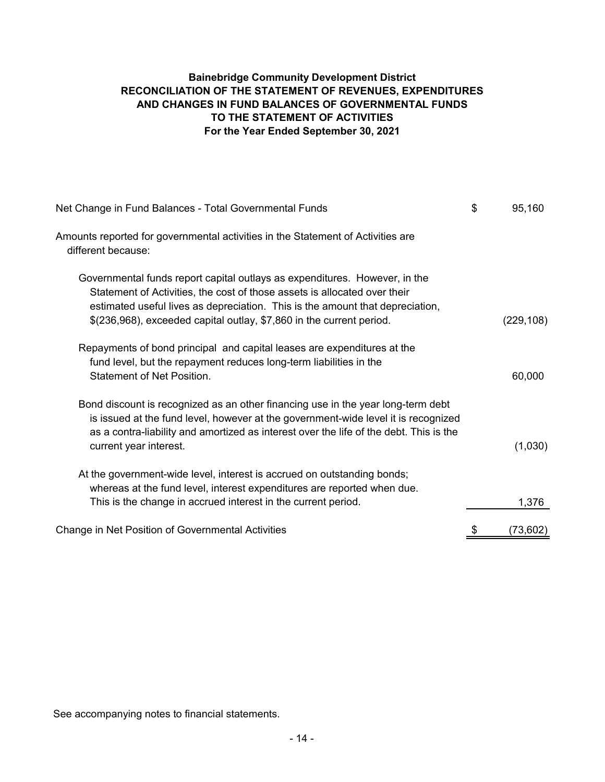# **Bainebridge Community Development District RECONCILIATION OF THE STATEMENT OF REVENUES, EXPENDITURES AND CHANGES IN FUND BALANCES OF GOVERNMENTAL FUNDS TO THE STATEMENT OF ACTIVITIES For the Year Ended September 30, 2021**

| Net Change in Fund Balances - Total Governmental Funds                                                                                                                                                                                                           | \$<br>95,160 |
|------------------------------------------------------------------------------------------------------------------------------------------------------------------------------------------------------------------------------------------------------------------|--------------|
| Amounts reported for governmental activities in the Statement of Activities are<br>different because:                                                                                                                                                            |              |
| Governmental funds report capital outlays as expenditures. However, in the<br>Statement of Activities, the cost of those assets is allocated over their<br>estimated useful lives as depreciation. This is the amount that depreciation,                         |              |
| \$(236,968), exceeded capital outlay, \$7,860 in the current period.                                                                                                                                                                                             | (229, 108)   |
| Repayments of bond principal and capital leases are expenditures at the<br>fund level, but the repayment reduces long-term liabilities in the<br><b>Statement of Net Position.</b>                                                                               | 60,000       |
| Bond discount is recognized as an other financing use in the year long-term debt<br>is issued at the fund level, however at the government-wide level it is recognized<br>as a contra-liability and amortized as interest over the life of the debt. This is the |              |
| current year interest.                                                                                                                                                                                                                                           | (1,030)      |
| At the government-wide level, interest is accrued on outstanding bonds;<br>whereas at the fund level, interest expenditures are reported when due.                                                                                                               |              |
| This is the change in accrued interest in the current period.                                                                                                                                                                                                    | 1,376        |
| Change in Net Position of Governmental Activities                                                                                                                                                                                                                | (73, 602)    |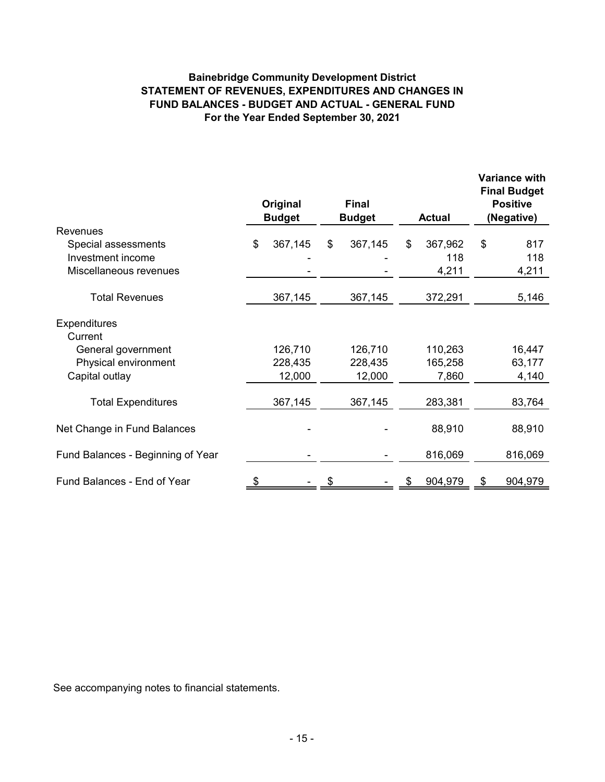# **Bainebridge Community Development District STATEMENT OF REVENUES, EXPENDITURES AND CHANGES IN FUND BALANCES - BUDGET AND ACTUAL - GENERAL FUND For the Year Ended September 30, 2021**

|                                   |    | Original<br><b>Budget</b> | <b>Final</b><br><b>Budget</b> | <b>Actual</b> | <b>Variance with</b><br><b>Final Budget</b><br><b>Positive</b><br>(Negative) |
|-----------------------------------|----|---------------------------|-------------------------------|---------------|------------------------------------------------------------------------------|
| Revenues                          |    |                           |                               |               |                                                                              |
| Special assessments               | \$ | 367,145                   | \$<br>367,145                 | \$<br>367,962 | \$<br>817                                                                    |
| Investment income                 |    |                           |                               | 118           | 118                                                                          |
| Miscellaneous revenues            |    |                           |                               | 4,211         | 4,211                                                                        |
| <b>Total Revenues</b>             |    | 367,145                   | 367,145                       | 372,291       | 5,146                                                                        |
| <b>Expenditures</b>               |    |                           |                               |               |                                                                              |
| Current                           |    |                           |                               |               |                                                                              |
| General government                |    | 126,710                   | 126,710                       | 110,263       | 16,447                                                                       |
| Physical environment              |    | 228,435                   | 228,435                       | 165,258       | 63,177                                                                       |
| Capital outlay                    |    | 12,000                    | 12,000                        | 7,860         | 4,140                                                                        |
| <b>Total Expenditures</b>         |    | 367,145                   | 367,145                       | 283,381       | 83,764                                                                       |
| Net Change in Fund Balances       |    |                           |                               | 88,910        | 88,910                                                                       |
| Fund Balances - Beginning of Year |    |                           |                               | 816,069       | 816,069                                                                      |
| Fund Balances - End of Year       | S  |                           |                               | 904,979       | \$<br>904,979                                                                |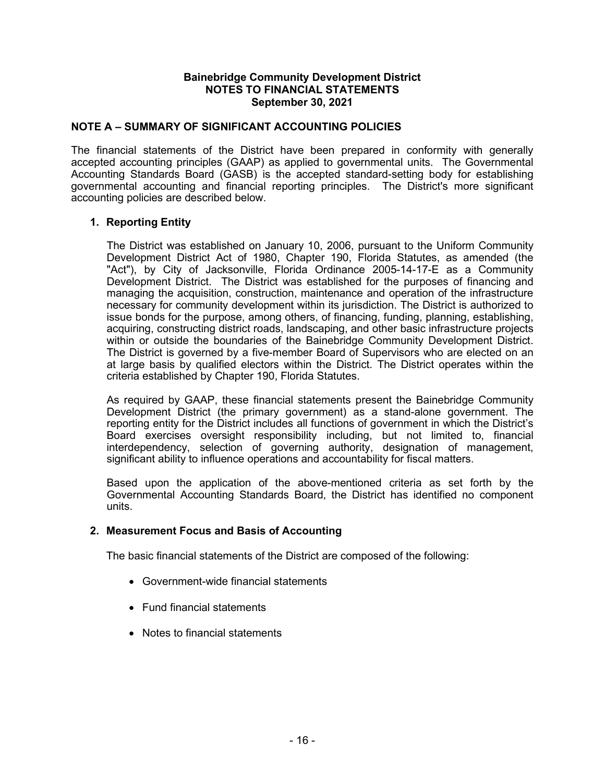# **NOTE A – SUMMARY OF SIGNIFICANT ACCOUNTING POLICIES**

 The financial statements of the District have been prepared in conformity with generally accepted accounting principles (GAAP) as applied to governmental units. The Governmental Accounting Standards Board (GASB) is the accepted standard-setting body for establishing governmental accounting and financial reporting principles. The District's more significant accounting policies are described below.

# **1. Reporting Entity**

 Development District Act of 1980, Chapter 190, Florida Statutes, as amended (the "Act"), by City of Jacksonville, Florida Ordinance 2005-14-17-E as a Community necessary for community development within its jurisdiction. The District is authorized to issue bonds for the purpose, among others, of financing, funding, planning, establishing, acquiring, constructing district roads, landscaping, and other basic infrastructure projects at large basis by qualified electors within the District. The District operates within the The District was established on January 10, 2006, pursuant to the Uniform Community Development District. The District was established for the purposes of financing and managing the acquisition, construction, maintenance and operation of the infrastructure within or outside the boundaries of the Bainebridge Community Development District. The District is governed by a five-member Board of Supervisors who are elected on an criteria established by Chapter 190, Florida Statutes.

 Board exercises oversight responsibility including, but not limited to, financial As required by GAAP, these financial statements present the Bainebridge Community Development District (the primary government) as a stand-alone government. The reporting entity for the District includes all functions of government in which the District's interdependency, selection of governing authority, designation of management, significant ability to influence operations and accountability for fiscal matters.

Based upon the application of the above-mentioned criteria as set forth by the Governmental Accounting Standards Board, the District has identified no component units.

# **2. Measurement Focus and Basis of Accounting**

The basic financial statements of the District are composed of the following:

- Government-wide financial statements
- Fund financial statements
- Notes to financial statements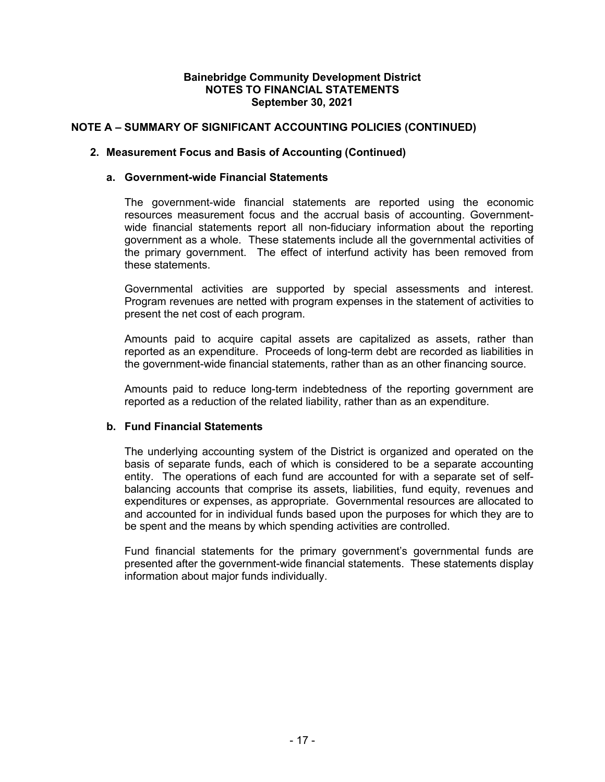# **NOTE A – SUMMARY OF SIGNIFICANT ACCOUNTING POLICIES (CONTINUED)**

# **2. Measurement Focus and Basis of Accounting (Continued)**

#### **a. Government-wide Financial Statements**

 The government-wide financial statements are reported using the economic wide financial statements report all non-fiduciary information about the reporting resources measurement focus and the accrual basis of accounting. Governmentgovernment as a whole. These statements include all the governmental activities of the primary government. The effect of interfund activity has been removed from these statements.

 Governmental activities are supported by special assessments and interest. Program revenues are netted with program expenses in the statement of activities to present the net cost of each program.

 Amounts paid to acquire capital assets are capitalized as assets, rather than the government-wide financial statements, rather than as an other financing source. reported as an expenditure. Proceeds of long-term debt are recorded as liabilities in

 reported as a reduction of the related liability, rather than as an expenditure. Amounts paid to reduce long-term indebtedness of the reporting government are

# **b. Fund Financial Statements**

 entity. The operations of each fund are accounted for with a separate set of self- expenditures or expenses, as appropriate. Governmental resources are allocated to The underlying accounting system of the District is organized and operated on the basis of separate funds, each of which is considered to be a separate accounting balancing accounts that comprise its assets, liabilities, fund equity, revenues and and accounted for in individual funds based upon the purposes for which they are to be spent and the means by which spending activities are controlled.

 Fund financial statements for the primary government's governmental funds are presented after the government-wide financial statements. These statements display information about major funds individually.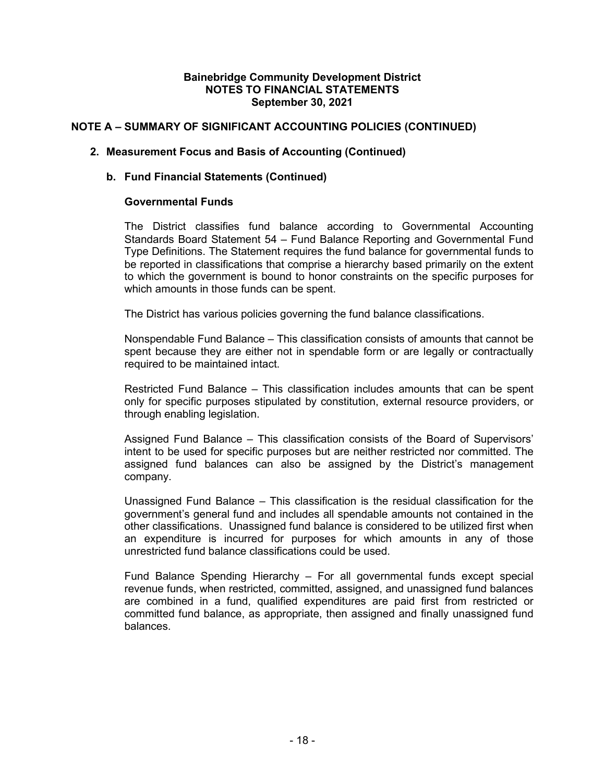# **NOTE A – SUMMARY OF SIGNIFICANT ACCOUNTING POLICIES (CONTINUED)**

# **2. Measurement Focus and Basis of Accounting (Continued)**

### **b. Fund Financial Statements (Continued)**

### **Governmental Funds**

 Standards Board Statement 54 – Fund Balance Reporting and Governmental Fund Type Definitions. The Statement requires the fund balance for governmental funds to The District classifies fund balance according to Governmental Accounting be reported in classifications that comprise a hierarchy based primarily on the extent to which the government is bound to honor constraints on the specific purposes for which amounts in those funds can be spent.

The District has various policies governing the fund balance classifications.

 spent because they are either not in spendable form or are legally or contractually Nonspendable Fund Balance – This classification consists of amounts that cannot be required to be maintained intact.

 only for specific purposes stipulated by constitution, external resource providers, or through enabling legislation. Restricted Fund Balance *–* This classification includes amounts that can be spent

through enabling legislation.<br>Assigned Fund Balance – This classification consists of the Board of Supervisors' intent to be used for specific purposes but are neither restricted nor committed. The assigned fund balances can also be assigned by the District's management company.

 Unassigned Fund Balance – This classification is the residual classification for the other classifications. Unassigned fund balance is considered to be utilized first when an expenditure is incurred for purposes for which amounts in any of those government's general fund and includes all spendable amounts not contained in the unrestricted fund balance classifications could be used.

 revenue funds, when restricted, committed, assigned, and unassigned fund balances Fund Balance Spending Hierarchy – For all governmental funds except special are combined in a fund, qualified expenditures are paid first from restricted or committed fund balance, as appropriate, then assigned and finally unassigned fund balances.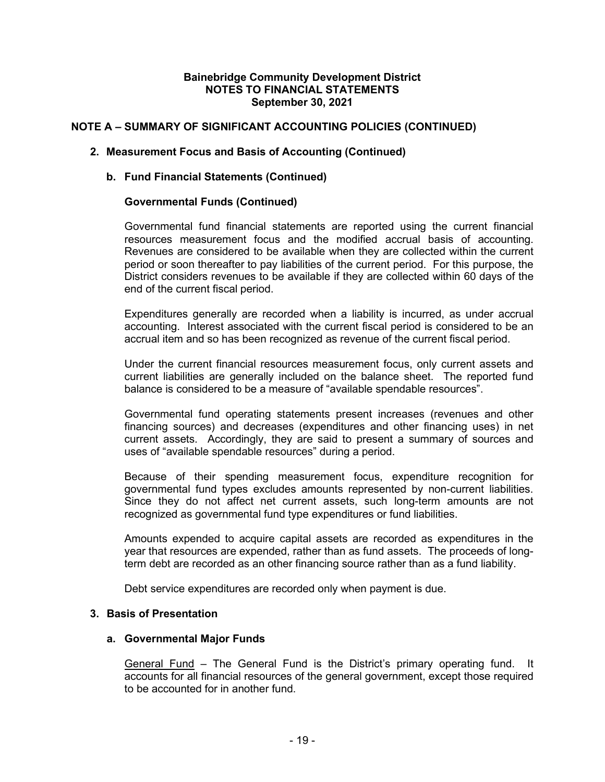# **NOTE A – SUMMARY OF SIGNIFICANT ACCOUNTING POLICIES (CONTINUED)**

#### **2. Measurement Focus and Basis of Accounting (Continued)**

#### **b. Fund Financial Statements (Continued)**

#### **Governmental Funds (Continued)**

 resources measurement focus and the modified accrual basis of accounting. period or soon thereafter to pay liabilities of the current period. For this purpose, the District considers revenues to be available if they are collected within 60 days of the end of the current fiscal period. Governmental fund financial statements are reported using the current financial Revenues are considered to be available when they are collected within the current

 Expenditures generally are recorded when a liability is incurred, as under accrual accrual item and so has been recognized as revenue of the current fiscal period. accounting. Interest associated with the current fiscal period is considered to be an

 Under the current financial resources measurement focus, only current assets and current liabilities are generally included on the balance sheet. The reported fund balance is considered to be a measure of "available spendable resources".

balance is considered to be a measure of "available spendable resources".<br>Governmental fund operating statements present increases (revenues and other financing sources) and decreases (expenditures and other financing uses) in net current assets. Accordingly, they are said to present a summary of sources and uses of "available spendable resources" during a period.

 governmental fund types excludes amounts represented by non-current liabilities. Since they do not affect net current assets, such long-term amounts are not Because of their spending measurement focus, expenditure recognition for recognized as governmental fund type expenditures or fund liabilities.

 Amounts expended to acquire capital assets are recorded as expenditures in the year that resources are expended, rather than as fund assets. The proceeds of longterm debt are recorded as an other financing source rather than as a fund liability.

Debt service expenditures are recorded only when payment is due.

# **3. Basis of Presentation**

#### **a. Governmental Major Funds**

 General Fund – The General Fund is the District's primary operating fund. It accounts for all financial resources of the general government, except those required to be accounted for in another fund.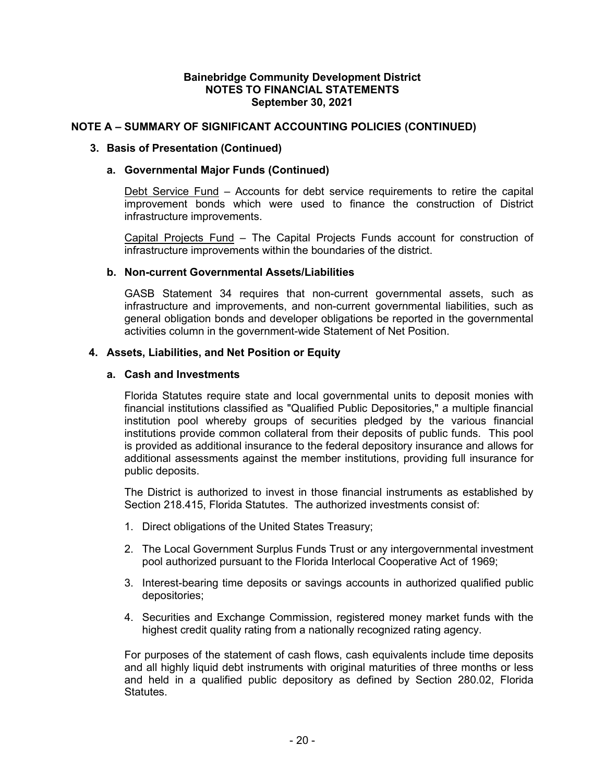# **NOTE A – SUMMARY OF SIGNIFICANT ACCOUNTING POLICIES (CONTINUED)**

# **3. Basis of Presentation (Continued)**

### **a. Governmental Major Funds (Continued)**

Debt Service Fund – Accounts for debt service requirements to retire the capital improvement bonds which were used to finance the construction of District infrastructure improvements.

 Capital Projects Fund – The Capital Projects Funds account for construction of infrastructure improvements within the boundaries of the district.

#### **b. Non-current Governmental Assets/Liabilities**

 GASB Statement 34 requires that non-current governmental assets, such as infrastructure and improvements, and non-current governmental liabilities, such as general obligation bonds and developer obligations be reported in the governmental activities column in the government-wide Statement of Net Position.

### **4. Assets, Liabilities, and Net Position or Equity**

### **a. Cash and Investments**

 institution pool whereby groups of securities pledged by the various financial is provided as additional insurance to the federal depository insurance and allows for additional assessments against the member institutions, providing full insurance for Florida Statutes require state and local governmental units to deposit monies with financial institutions classified as "Qualified Public Depositories," a multiple financial institutions provide common collateral from their deposits of public funds. This pool public deposits.

The District is authorized to invest in those financial instruments as established by Section 218.415, Florida Statutes. The authorized investments consist of:

- 1. Direct obligations of the United States Treasury;
- 2. The Local Government Surplus Funds Trust or any intergovernmental investment pool authorized pursuant to the Florida Interlocal Cooperative Act of 1969;
- 3. Interest-bearing time deposits or savings accounts in authorized qualified public depositories;
- 4. Securities and Exchange Commission, registered money market funds with the highest credit quality rating from a nationally recognized rating agency.

 and held in a qualified public depository as defined by Section 280.02, Florida For purposes of the statement of cash flows, cash equivalents include time deposits and all highly liquid debt instruments with original maturities of three months or less Statutes.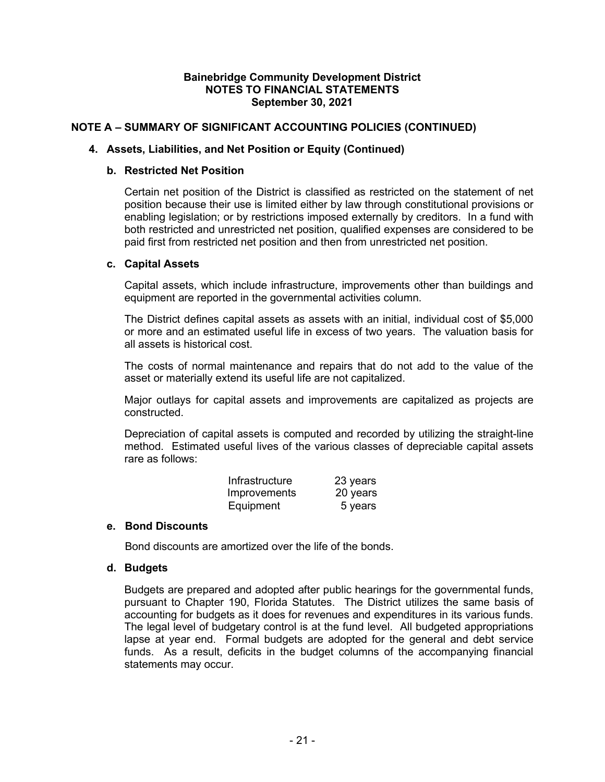# **NOTE A – SUMMARY OF SIGNIFICANT ACCOUNTING POLICIES (CONTINUED)**

# **4. Assets, Liabilities, and Net Position or Equity (Continued)**

### **b. Restricted Net Position**

 Certain net position of the District is classified as restricted on the statement of net position because their use is limited either by law through constitutional provisions or enabling legislation; or by restrictions imposed externally by creditors. In a fund with both restricted and unrestricted net position, qualified expenses are considered to be paid first from restricted net position and then from unrestricted net position.

### **c. Capital Assets**

 Capital assets, which include infrastructure, improvements other than buildings and equipment are reported in the governmental activities column.

all assets is historical cost. The District defines capital assets as assets with an initial, individual cost of \$5,000 or more and an estimated useful life in excess of two years. The valuation basis for

all assets is historical cost.<br>The costs of normal maintenance and repairs that do not add to the value of the asset or materially extend its useful life are not capitalized.

Major outlays for capital assets and improvements are capitalized as projects are constructed.

 method. Estimated useful lives of the various classes of depreciable capital assets Depreciation of capital assets is computed and recorded by utilizing the straight-line rare as follows:

| Infrastructure | 23 years |
|----------------|----------|
| Improvements   | 20 years |
| Equipment      | 5 years  |

# **e. Bond Discounts**

Bond discounts are amortized over the life of the bonds.

# **d. Budgets**

 accounting for budgets as it does for revenues and expenditures in its various funds. The legal level of budgetary control is at the fund level. All budgeted appropriations funds. As a result, deficits in the budget columns of the accompanying financial statements may occur. Budgets are prepared and adopted after public hearings for the governmental funds, pursuant to Chapter 190, Florida Statutes. The District utilizes the same basis of lapse at year end. Formal budgets are adopted for the general and debt service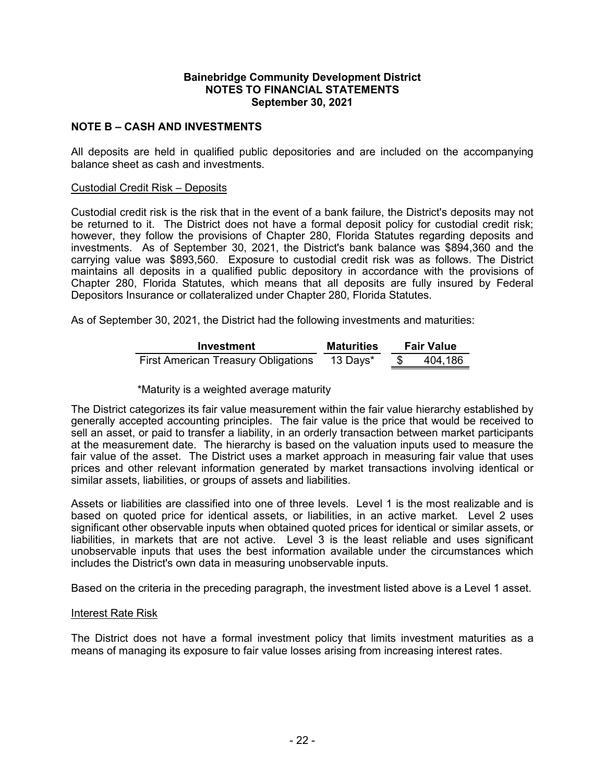# **September 30, 2021 NOTE B – CASH AND INVESTMENTS**

All deposits are held in qualified public depositories and are included on the accompanying balance sheet as cash and investments.

# Custodial Credit Risk – Deposits

 Custodial credit risk is the risk that in the event of a bank failure, the District's deposits may not be returned to it. The District does not have a formal deposit policy for custodial credit risk; however, they follow the provisions of Chapter 280, Florida Statutes regarding deposits and investments. As of September 30, 2021, the District's bank balance was \$894,360 and the carrying value was \$893,560. Exposure to custodial credit risk was as follows. The District Chapter 280, Florida Statutes, which means that all deposits are fully insured by Federal maintains all deposits in a qualified public depository in accordance with the provisions of Depositors Insurance or collateralized under Chapter 280, Florida Statutes.

As of September 30, 2021, the District had the following investments and maturities:

| Investment                                 | <b>Maturities</b> | <b>Fair Value</b> |         |  |
|--------------------------------------------|-------------------|-------------------|---------|--|
| <b>First American Treasury Obligations</b> | 13 Days*          |                   | 404,186 |  |

### \*Maturity is a weighted average maturity

 The District categorizes its fair value measurement within the fair value hierarchy established by at the measurement date. The hierarchy is based on the valuation inputs used to measure the fair value of the asset. The District uses a market approach in measuring fair value that uses prices and other relevant information generated by market transactions involving identical or generally accepted accounting principles. The fair value is the price that would be received to sell an asset, or paid to transfer a liability, in an orderly transaction between market participants similar assets, liabilities, or groups of assets and liabilities.

 liabilities, in markets that are not active. Level 3 is the least reliable and uses significant unobservable inputs that uses the best information available under the circumstances which Assets or liabilities are classified into one of three levels. Level 1 is the most realizable and is based on quoted price for identical assets, or liabilities, in an active market. Level 2 uses significant other observable inputs when obtained quoted prices for identical or similar assets, or includes the District's own data in measuring unobservable inputs.

Based on the criteria in the preceding paragraph, the investment listed above is a Level 1 asset.

#### Interest Rate Risk

The District does not have a formal investment policy that limits investment maturities as a means of managing its exposure to fair value losses arising from increasing interest rates.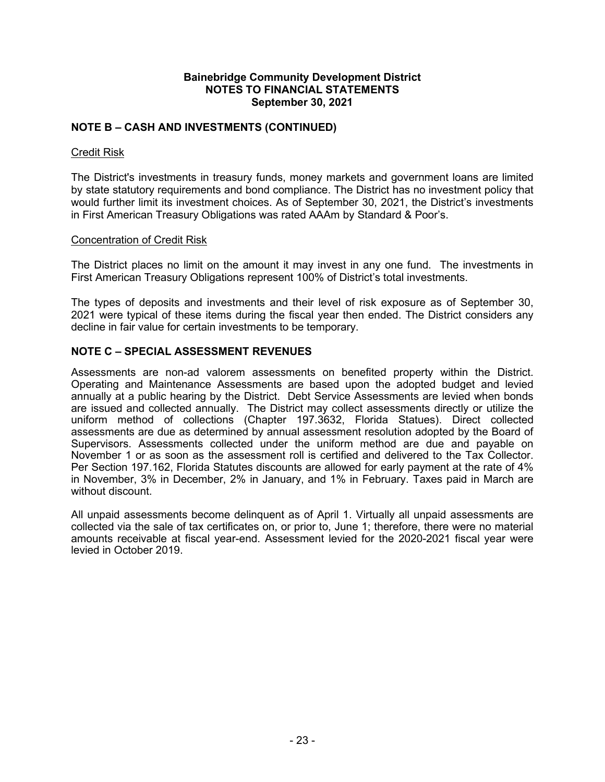# **September 30, 2021 NOTE B – CASH AND INVESTMENTS (CONTINUED)**

### Credit Risk

 The District's investments in treasury funds, money markets and government loans are limited by state statutory requirements and bond compliance. The District has no investment policy that in First American Treasury Obligations was rated AAAm by Standard & Poor's. would further limit its investment choices. As of September 30, 2021, the District's investments

### Concentration of Credit Risk

 The District places no limit on the amount it may invest in any one fund. The investments in First American Treasury Obligations represent 100% of District's total investments.

 2021 were typical of these items during the fiscal year then ended. The District considers any decline in fair value for certain investments to be temporary. The types of deposits and investments and their level of risk exposure as of September 30,

# **NOTE C – SPECIAL ASSESSMENT REVENUES**

 Operating and Maintenance Assessments are based upon the adopted budget and levied annually at a public hearing by the District. Debt Service Assessments are levied when bonds are issued and collected annually. The District may collect assessments directly or utilize the Supervisors. Assessments collected under the uniform method are due and payable on November 1 or as soon as the assessment roll is certified and delivered to the Tax Collector. Assessments are non-ad valorem assessments on benefited property within the District. uniform method of collections (Chapter 197.3632, Florida Statues). Direct collected assessments are due as determined by annual assessment resolution adopted by the Board of Per Section 197.162, Florida Statutes discounts are allowed for early payment at the rate of 4% in November, 3% in December, 2% in January, and 1% in February. Taxes paid in March are without discount.

 All unpaid assessments become delinquent as of April 1. Virtually all unpaid assessments are amounts receivable at fiscal year-end. Assessment levied for the 2020-2021 fiscal year were collected via the sale of tax certificates on, or prior to, June 1; therefore, there were no material levied in October 2019.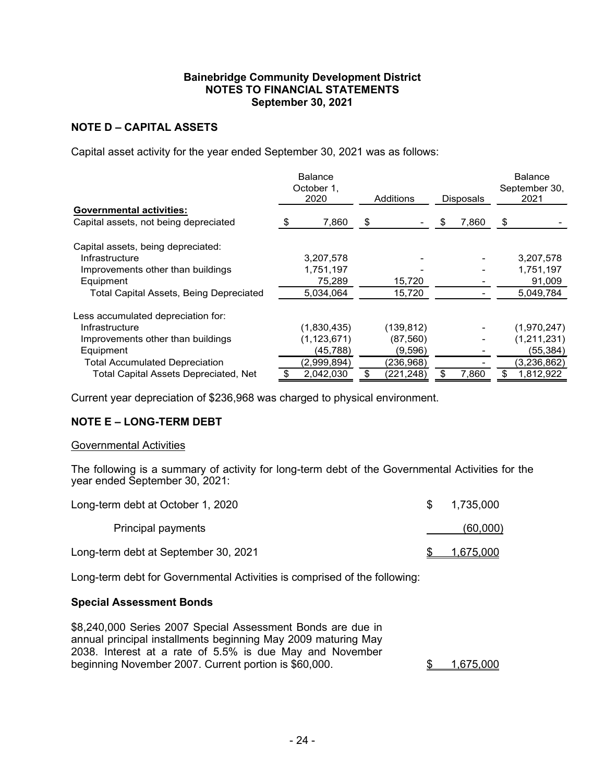# **September 30, 2021 NOTE D – CAPITAL ASSETS**

Capital asset activity for the year ended September 30, 2021 was as follows:

|                                              |    | <b>Balance</b><br>October 1.<br>2020 |    | Additions<br><b>Disposals</b> |    |       | Balance<br>September 30,<br>2021 |               |
|----------------------------------------------|----|--------------------------------------|----|-------------------------------|----|-------|----------------------------------|---------------|
| <b>Governmental activities:</b>              |    |                                      |    |                               |    |       |                                  |               |
| Capital assets, not being depreciated        | \$ | 7,860                                | \$ |                               | \$ | 7,860 | \$                               |               |
| Capital assets, being depreciated:           |    |                                      |    |                               |    |       |                                  |               |
| Infrastructure                               |    | 3,207,578                            |    |                               |    |       |                                  | 3,207,578     |
| Improvements other than buildings            |    | 1,751,197                            |    |                               |    |       |                                  | 1,751,197     |
| Equipment                                    |    | 75,289                               |    | 15,720                        |    |       |                                  | 91,009        |
| Total Capital Assets, Being Depreciated      |    | 5,034,064                            |    | 15,720                        |    |       |                                  | 5,049,784     |
| Less accumulated depreciation for:           |    |                                      |    |                               |    |       |                                  |               |
| Infrastructure                               |    | (1,830,435)                          |    | (139, 812)                    |    |       |                                  | (1,970,247)   |
| Improvements other than buildings            |    | (1, 123, 671)                        |    | (87, 560)                     |    |       |                                  | (1,211,231)   |
| Equipment                                    |    | (45, 788)                            |    | (9,596)                       |    |       |                                  | (55, 384)     |
| <b>Total Accumulated Depreciation</b>        |    | (2,999,894)                          |    | (236,968)                     |    |       |                                  | (3, 236, 862) |
| <b>Total Capital Assets Depreciated, Net</b> | \$ | 2,042,030                            | \$ | (221, 248)                    | \$ | 7,860 | S                                | 1,812,922     |

Current year depreciation of \$236,968 was charged to physical environment.

# **NOTE E – LONG-TERM DEBT**

#### Governmental Activities

 The following is a summary of activity for long-term debt of the Governmental Activities for the year ended September 30, 2021:

| Long-term debt at October 1, 2020    | 1,735,000 |
|--------------------------------------|-----------|
| <b>Principal payments</b>            | (60,000)  |
| Long-term debt at September 30, 2021 | 1,675,000 |

Long-term debt for Governmental Activities is comprised of the following:

#### **Special Assessment Bonds**

 \$8,240,000 Series 2007 Special Assessment Bonds are due in 2038. Interest at a rate of 5.5% is due May and November annual principal installments beginning May 2009 maturing May beginning November 2007. Current portion is \$60,000.

 $$ 1,675,000$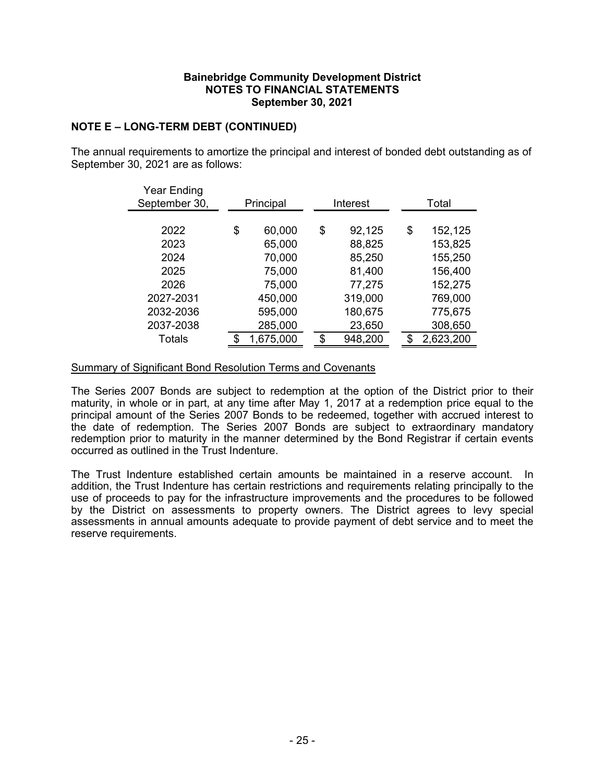# **September 30, 2021 NOTE E – LONG-TERM DEBT (CONTINUED)**

 September 30, 2021 are as follows: Year Ending The annual requirements to amortize the principal and interest of bonded debt outstanding as of

| <b>Year Ending</b> |              |    |          |    |           |
|--------------------|--------------|----|----------|----|-----------|
| September 30,      | Principal    |    | Interest |    | Total     |
|                    |              |    |          |    |           |
| 2022               | \$<br>60,000 | \$ | 92,125   | \$ | 152,125   |
| 2023               | 65,000       |    | 88,825   |    | 153,825   |
| 2024               | 70,000       |    | 85,250   |    | 155,250   |
| 2025               | 75,000       |    | 81,400   |    | 156,400   |
| 2026               | 75,000       |    | 77,275   |    | 152,275   |
| 2027-2031          | 450,000      |    | 319,000  |    | 769,000   |
| 2032-2036          | 595,000      |    | 180,675  |    | 775,675   |
| 2037-2038          | 285,000      |    | 23,650   |    | 308,650   |
| Totals             | 1,675,000    | S  | 948,200  | \$ | 2,623,200 |

### Summary of Significant Bond Resolution Terms and Covenants

 The Series 2007 Bonds are subject to redemption at the option of the District prior to their maturity, in whole or in part, at any time after May 1, 2017 at a redemption price equal to the principal amount of the Series 2007 Bonds to be redeemed, together with accrued interest to the date of redemption. The Series 2007 Bonds are subject to extraordinary mandatory redemption prior to maturity in the manner determined by the Bond Registrar if certain events occurred as outlined in the Trust Indenture.

 The Trust Indenture established certain amounts be maintained in a reserve account. In addition, the Trust Indenture has certain restrictions and requirements relating principally to the use of proceeds to pay for the infrastructure improvements and the procedures to be followed by the District on assessments to property owners. The District agrees to levy special assessments in annual amounts adequate to provide payment of debt service and to meet the reserve requirements.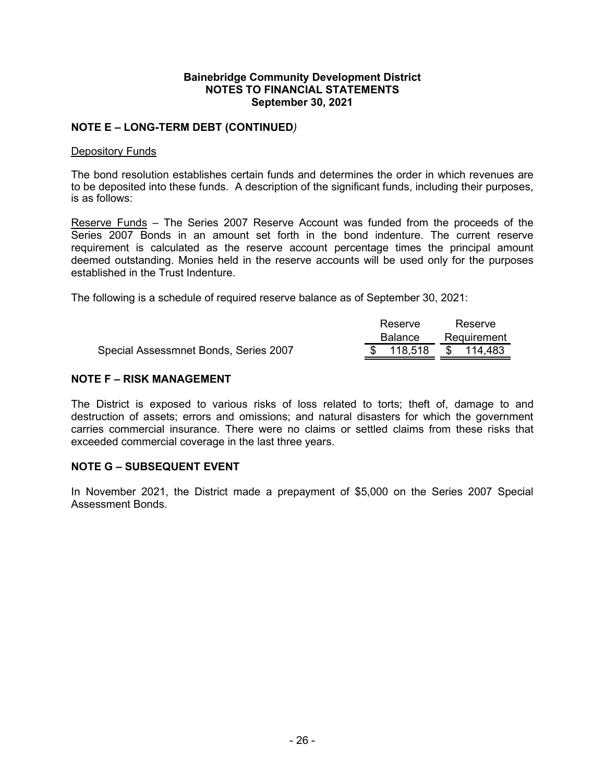# **September 30, 2021 NOTE E – LONG-TERM DEBT (CONTINUED***)*

#### Depository Funds

 to be deposited into these funds. A description of the significant funds, including their purposes, The bond resolution establishes certain funds and determines the order in which revenues are is as follows:

Reserve Funds – The Series 2007 Reserve Account was funded from the proceeds of the Series 2007 Bonds in an amount set forth in the bond indenture. The current reserve requirement is calculated as the reserve account percentage times the principal amount deemed outstanding. Monies held in the reserve accounts will be used only for the purposes established in the Trust Indenture.

The following is a schedule of required reserve balance as of September 30, 2021:

|                                       | Reserve               | Reserve     |  |  |
|---------------------------------------|-----------------------|-------------|--|--|
|                                       | Balance               | Requirement |  |  |
| Special Assessmnet Bonds, Series 2007 | \$ 118.518 \$ 114.483 |             |  |  |

# **NOTE F – RISK MANAGEMENT**

 The District is exposed to various risks of loss related to torts; theft of, damage to and destruction of assets; errors and omissions; and natural disasters for which the government carries commercial insurance. There were no claims or settled claims from these risks that exceeded commercial coverage in the last three years.

# **NOTE G – SUBSEQUENT EVENT**

In November 2021, the District made a prepayment of \$5,000 on the Series 2007 Special Assessment Bonds.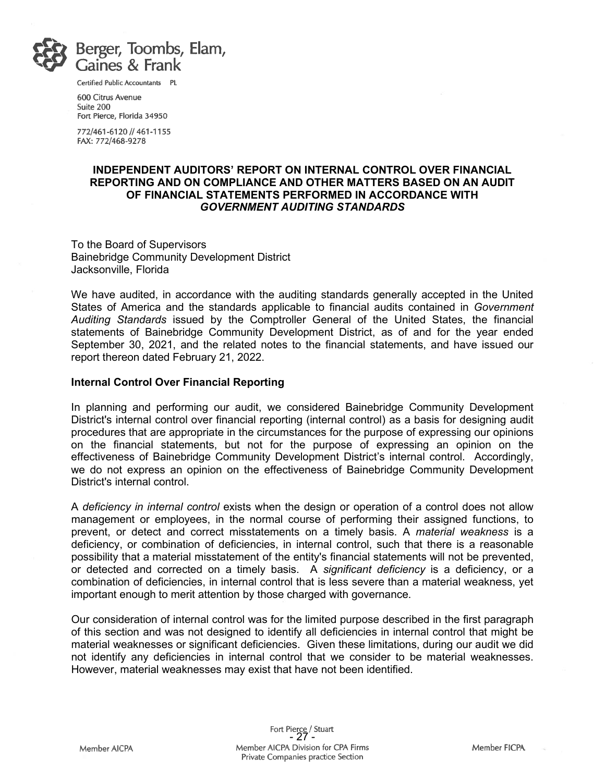

Certified Public Accountants Pl

600 Citrus Avenue Suite 200 Fort Pierce, Florida 34950

772/461-6120 // 461-1155 **FAX:** 772/468-9278

#### **INDEPENDENT AUDITORS' REPORT ON INTERNAL CONTROL OVER FINANCIAL REPORTING AND ON COMPLIANCE AND OTHER MATTERS BASED ON AN AUDIT OF FINANCIAL STATEMENTS PERFORMED IN ACCORDANCE WITH**  *GOVERNMENT AUDITING STANDARDS*

Bainebridge Community Development District<br>Jacksonville, Florida Jacksonville, Florida To the Board of Supervisors

 States of America and the standards applicable to financial audits contained in *Government Auditing Standards* issued by the Comptroller General of the United States, the financial report thereon dated February 21, 2022. We have audited, in accordance with the auditing standards generally accepted in the United statements of Bainebridge Community Development District, as of and for the year ended September 30, 2021, and the related notes to the financial statements, and have issued our

#### **Internal Control Over Financial Reporting**

 District's internal control over financial reporting (internal control) as a basis for designing audit procedures that are appropriate in the circumstances for the purpose of expressing our opinions effectiveness of Bainebridge Community Development District's internal control. Accordingly, we do not express an opinion on the effectiveness of Bainebridge Community Development In planning and performing our audit, we considered Bainebridge Community Development on the financial statements, but not for the purpose of expressing an opinion on the District's internal control.

 management or employees, in the normal course of performing their assigned functions, to or detected and corrected on a timely basis. A *significant deficiency* is a deficiency, or a combination of deficiencies, in internal control that is less severe than a material weakness, yet A *deficiency in internal control* exists when the design or operation of a control does not allow prevent, or detect and correct misstatements on a timely basis. A *material weakness* is a deficiency, or combination of deficiencies, in internal control, such that there is a reasonable possibility that a material misstatement of the entity's financial statements will not be prevented, important enough to merit attention by those charged with governance.

 Our consideration of internal control was for the limited purpose described in the first paragraph material weaknesses or significant deficiencies. Given these limitations, during our audit we did not identify any deficiencies in internal control that we consider to be material weaknesses. However, material weaknesses may exist that have not been identified. of this section and was not designed to identify all deficiencies in internal control that might be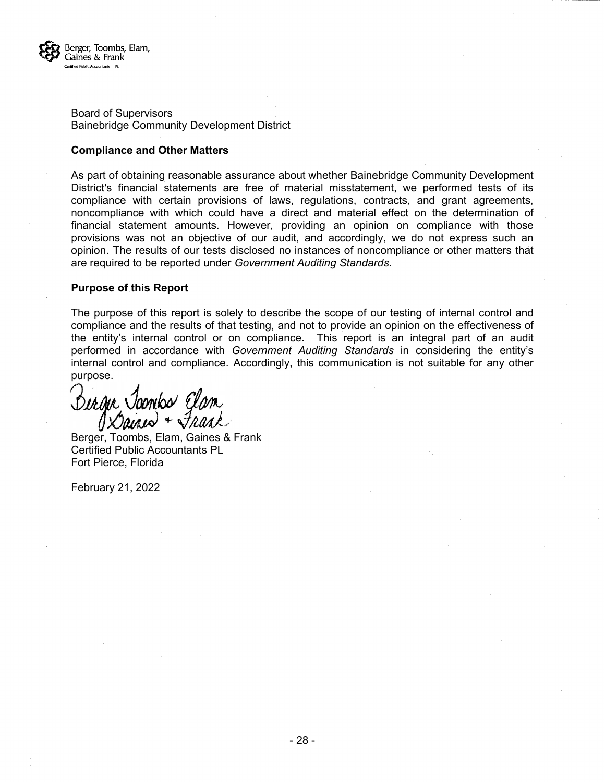

Board of Supervisors Bainebridge Community Development District

#### **Compliance and Other Matters**

 As part of obtaining reasonable assurance about whether Bainebridge Community Development District's financial statements are free of material misstatement, we performed tests of its opinion. The results of our tests disclosed no instances of noncompliance or other matters that compliance with certain provisions of laws, regulations, contracts, and grant agreements, noncompliance with which could have a direct and material effect on the determination of financial statement amounts. However, providing an opinion on compliance with those provisions was not an objective of our audit, and accordingly, we do not express such an are required to be reported under *Government Auditing Standards*.

#### **Purpose of this Report**

 The purpose of this report is solely to describe the scope of our testing of internal control and compliance and the results of that testing, and not to provide an opinion on the effectiveness of the entity's internal control or on compliance. This report is an integral part of an audit performed in accordance with *Government Auditing Standards* in considering the entity's internal control and compliance. Accordingly, this communication is not suitable for any other purpose.

Durair Joonibo Elam

Berger, Toombs, Elam, Gaines & Frank Berger, Toombs, Elam, Gaines & Frank<br>Certified Public Accountants PL Fort Pierce, Florida

February 21, 2022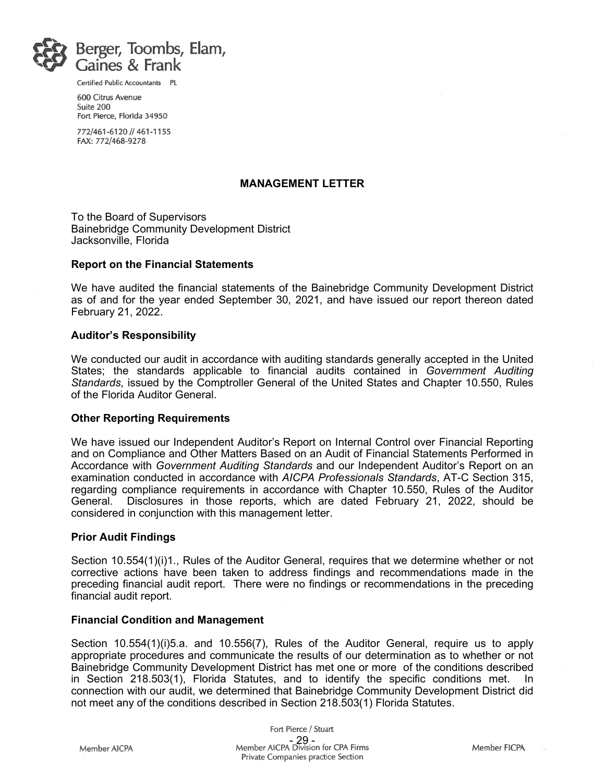

Certified Public Accountants Pl

600 Citrus Avenue Suite 200 Fort Pierce, Florida 34950

772/461-6120 // 461-1155 **FAX:** 772/468-9278

#### **MANAGEMENT LETTER**

 Jacksonville, Florida To the Board of Supervisors Bainebridge Community Development District

#### **Report on the Financial Statements**

 We have audited the financial statements of the Bainebridge Community Development District as of and for the year ended September 30, 2021, and have issued our report thereon dated February 21, 2022.

#### **Auditor's Responsibility**

 of the Florida Auditor General. We conducted our audit in accordance with auditing standards generally accepted in the United States; the standards applicable to financial audits contained in *Government Auditing Standards*, issued by the Comptroller General of the United States and Chapter 10.550, Rules

#### **Other Reporting Requirements**

We have issued our Independent Auditor's Report on Internal Control over Financial Reporting and on Compliance and Other Matters Based on an Audit of Financial Statements Performed in Accordance with *Government Auditing Standards* and our Independent Auditor's Report on an examination conducted in accordance with *AICPA Professionals Standards*, AT-C Section 315, regarding compliance requirements in accordance with Chapter 10.550, Rules of the Auditor General. Disclosures in those reports, which are dated February 21, 2022, should be considered in conjunction with this management letter.

#### **Prior Audit Findings**

 Section 10.554(1)(i)1., Rules of the Auditor General, requires that we determine whether or not financial audit report. corrective actions have been taken to address findings and recommendations made in the preceding financial audit report. There were no findings or recommendations in the preceding

#### **Financial Condition and Management**

Section 10.554(1)(i)5.a. and 10.556(7), Rules of the Auditor General, require us to apply appropriate procedures and communicate the results of our determination as to whether or not Bainebridge Community Development District has met one or more of the conditions described in Section 218.503(1), Florida Statutes, and to identify the specific conditions met. In connection with our audit, we determined that Bainebridge Community Development District did not meet any of the conditions described in Section 218.503(1) Florida Statutes.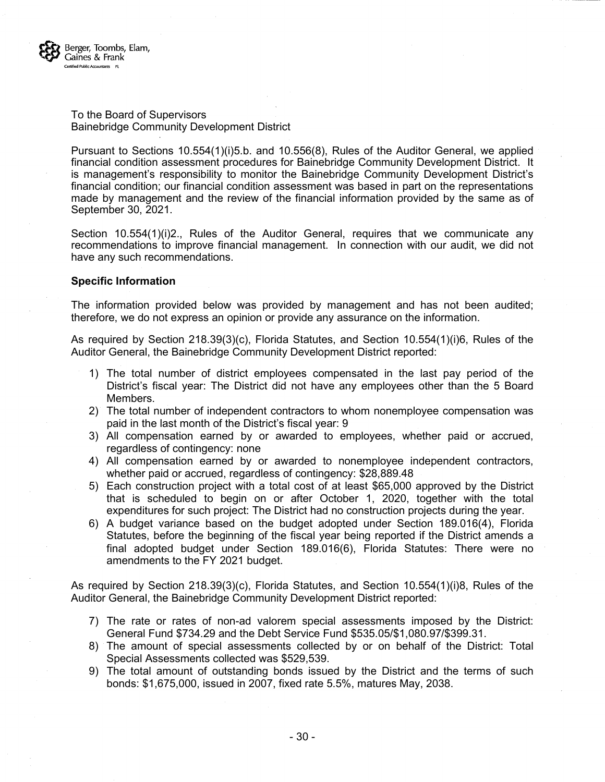

To the Board of Supervisors Bainebridge Community Development District

 Pursuant to Sections 10.554(1)(i)5.b. and 10.556(8), Rules of the Auditor General, we applied made by management and the review of the financial information provided by the same as of September 30, 2021. financial condition assessment procedures for Bainebridge Community Development District. It is management's responsibility to monitor the Bainebridge Community Development District's financial condition; our financial condition assessment was based in part on the representations

September 30, 2021.<br>Section 10.554(1)(i)2., Rules of the Auditor General, requires that we communicate any recommendations to improve financial management. In connection with our audit, we did not have any such recommendations.

#### **Specific Information**

 The information provided below was provided by management and has not been audited; therefore, we do not express an opinion or provide any assurance on the information.

 As required by Section 218.39(3)(c), Florida Statutes, and Section 10.554(1)(i)6, Rules of the Auditor General, the Bainebridge Community Development District reported:

- 1) The total number of district employees compensated in the last pay period of the District's fiscal year: The District did not have any employees other than the 5 Board Members.
- 2) The total number of independent contractors to whom nonemployee compensation was paid in the last month of the District's fiscal year: 9
- 3) All compensation earned by or awarded to employees, whether paid or accrued, regardless of contingency: none
- 4) All compensation earned by or awarded to nonemployee independent contractors, whether paid or accrued, regardless of contingency: \$[28,889.48](https://28,889.48)
- 5) Each construction project with a total cost of at least \$65,000 approved by the District that is scheduled to begin on or after October 1, 2020, together with the total expenditures for such project: The District had no construction projects during the year.
- Statutes, before the beginning of the fiscal year being reported if the District amends a 6) A budget variance based on the budget adopted under Section 189.016(4), Florida final adopted budget under Section 189.016(6), Florida Statutes: There were no amendments to the FY 2021 budget.

 As required by Section 218.39(3)(c), Florida Statutes, and Section 10.554(1)(i)8, Rules of the Auditor General, the Bainebridge Community Development District reported:

- 7) The rate or rates of non-ad valorem special assessments imposed by the District: General Fund \$734.29 and the Debt Service Fund [\\$535.05/\\$1,080.97/\\$399.31.](https://535.05/$1,080.97/$399.31)
- 8) The amount of special assessments collected by or on behalf of the District: Total Special Assessments collected was \$529,539.
- 9) The total amount of outstanding bonds issued by the District and the terms of such bonds: \$1,675,000, issued in 2007, fixed rate 5.5%, matures May, 2038.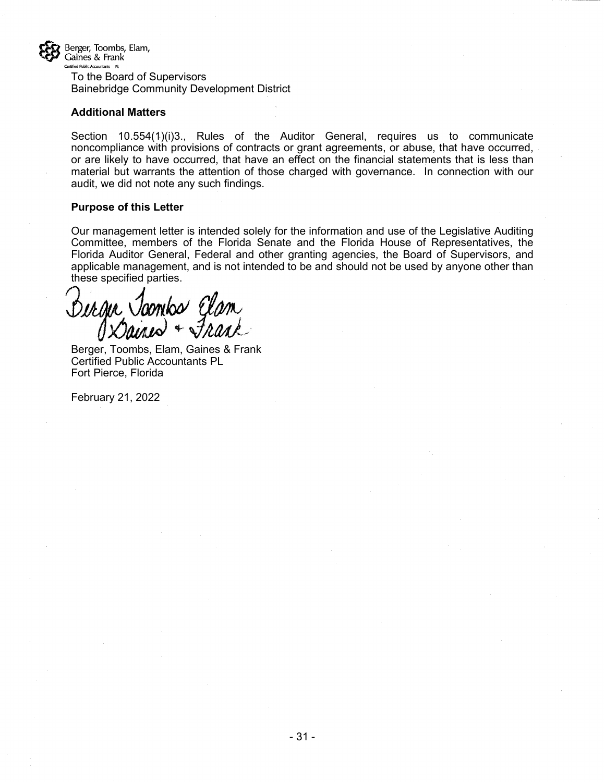

To the Board of Supervisors Bainebridge Community Development District

#### **Additional Matters**

 Section 10.554(1)(i)3., Rules of the Auditor General, requires us to communicate material but warrants the attention of those charged with governance. In connection with our noncompliance with provisions of contracts or grant agreements, or abuse, that have occurred, or are likely to have occurred, that have an effect on the financial statements that is less than audit, we did not note any such findings.

#### **Purpose of this Letter**

 Our management letter is intended solely for the information and use of the Legislative Auditing Committee, members of the Florida Senate and the Florida House of Representatives, the applicable management, and is not intended to be and should not be used by anyone other than Florida Auditor General, Federal and other granting agencies, the Board of Supervisors, and these specified parties.

Dergie Jambo Elam Fran  $\Lambda x$ aires +

Berger, Toombs, Elam, Gaines & Frank Certified Public Accountants PL Fort Pierce, Florida

February 21, 2022